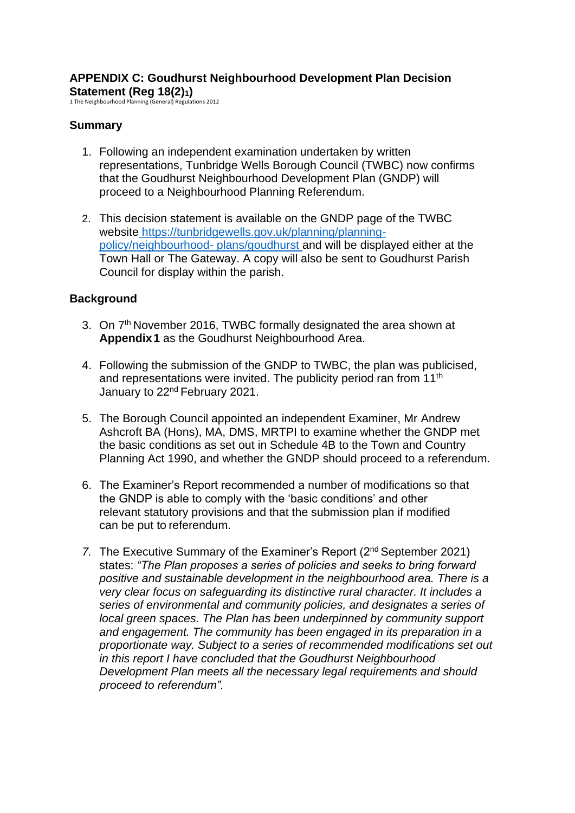## **APPENDIX C: Goudhurst Neighbourhood Development Plan Decision Statement (Reg 18(2)1)** 1 The Neighbourhood Planning (General) Regulations 2012

### **Summary**

- 1. Following an independent examination undertaken by written representations, Tunbridge Wells Borough Council (TWBC) now confirms that the Goudhurst Neighbourhood Development Plan (GNDP) will proceed to a Neighbourhood Planning Referendum.
- 2. This decision statement is available on the GNDP page of the TWBC website [https://tunbridgewells.gov.uk/planning/planning](https://tunbridgewells.gov.uk/planning/planning-policy/neighbourhood-plans/goudhurst)[policy/neighbourhood-](https://tunbridgewells.gov.uk/planning/planning-policy/neighbourhood-plans/goudhurst) [plans/goudhurst](https://tunbridgewells.gov.uk/planning/planning-policy/neighbourhood-plans/goudhurst) and will be displayed either at the Town Hall or The Gateway. A copy will also be sent to Goudhurst Parish Council for display within the parish.

#### **Background**

- 3. On 7<sup>th</sup> November 2016, TWBC formally designated the area shown at **Appendix1** as the Goudhurst Neighbourhood Area.
- 4. Following the submission of the GNDP to TWBC, the plan was publicised, and representations were invited. The publicity period ran from 11<sup>th</sup> January to 22<sup>nd</sup> February 2021.
- 5. The Borough Council appointed an independent Examiner, Mr Andrew Ashcroft BA (Hons), MA, DMS, MRTPI to examine whether the GNDP met the basic conditions as set out in Schedule 4B to the Town and Country Planning Act 1990, and whether the GNDP should proceed to a referendum.
- 6. The Examiner's Report recommended a number of modifications so that the GNDP is able to comply with the 'basic conditions' and other relevant statutory provisions and that the submission plan if modified can be put to referendum.
- 7. The Executive Summary of the Examiner's Report (2<sup>nd</sup> September 2021) states: *"The Plan proposes a series of policies and seeks to bring forward positive and sustainable development in the neighbourhood area. There is a very clear focus on safeguarding its distinctive rural character. It includes a series of environmental and community policies, and designates a series of local green spaces. The Plan has been underpinned by community support and engagement. The community has been engaged in its preparation in a proportionate way. Subject to a series of recommended modifications set out in this report I have concluded that the Goudhurst Neighbourhood Development Plan meets all the necessary legal requirements and should proceed to referendum".*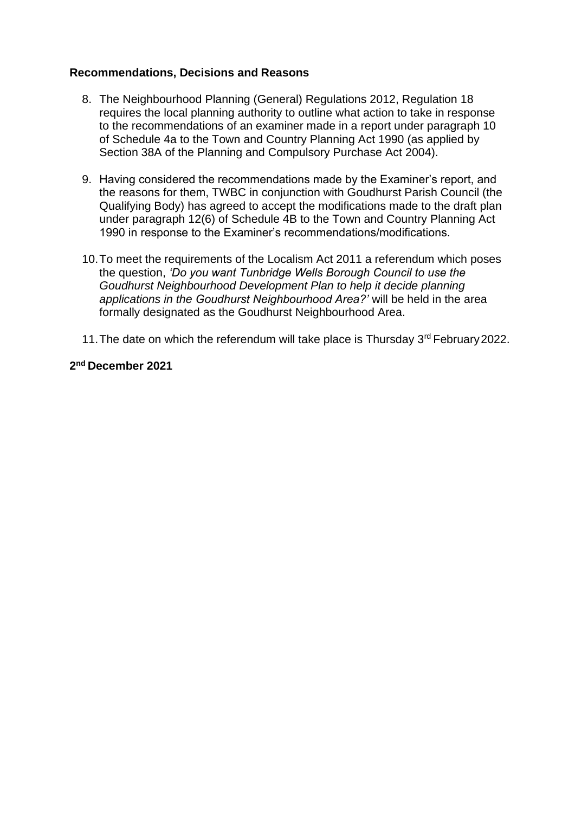#### **Recommendations, Decisions and Reasons**

- 8. The Neighbourhood Planning (General) Regulations 2012, Regulation 18 requires the local planning authority to outline what action to take in response to the recommendations of an examiner made in a report under paragraph 10 of Schedule 4a to the Town and Country Planning Act 1990 (as applied by Section 38A of the Planning and Compulsory Purchase Act 2004).
- 9. Having considered the recommendations made by the Examiner's report, and the reasons for them, TWBC in conjunction with Goudhurst Parish Council (the Qualifying Body) has agreed to accept the modifications made to the draft plan under paragraph 12(6) of Schedule 4B to the Town and Country Planning Act 1990 in response to the Examiner's recommendations/modifications.
- 10.To meet the requirements of the Localism Act 2011 a referendum which poses the question, *'Do you want Tunbridge Wells Borough Council to use the Goudhurst Neighbourhood Development Plan to help it decide planning applications in the Goudhurst Neighbourhood Area?'* will be held in the area formally designated as the Goudhurst Neighbourhood Area.
- 11. The date on which the referendum will take place is Thursday 3<sup>rd</sup> February 2022.

#### **2 nd December 2021**